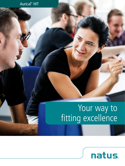### Aurical® HIT

# Your way to fitting excellence

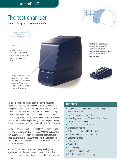## Aurical® HIT

# The test chamber

**Minimal footprint. Maximum benefit**



**Portable:** The compact design makes it convenient to bring it with you on home visits or move it between offices.

> **Unique:** Combines a small footprint with an extensive feature set and ease-of-use for Coupler Based Fitting using RECD and carrying out customized measurements.

Aurical® HIT offers a new approach to Hearing Instrument Testing. The vertical design combines a small footprint with a strong feature set and portability. Aurical HIT allows you to do intuitive Coupler Based Fitting with RECDs, preprogramming, and pre-fitting without the client's presence. It can operate independently of the other Aurical elements. Or you can connect it to the Aurical Aud or simply directly to your computer running Otosuite® software - the shared interface for all Aurical elements.

**AURICAL** 

Aurical HIT delivers exceptional flexibility so you can fit clients your way. Measure according to IEC and ANSI test standards or carry out FreeStyle measurement. Customize both stimuli and prescriptive targets to suit your needs. And the Otosuite User Tests permit partial and full test sequences for consistency, easeof-use and efficiency.

Aurical HIT provides a true picture of every hearing instrument regardless of manufacturer or type. Furthermore its flexible measurement design makes it perfect for verification of wireless features.



**The hearing instruments** are easily placed correctly for accurate and reliable measurements. The **OnePosition** method accommodates all

measurements.



#### **THE FACTS**

- **•** Coupler Based Fitting using RECD according to DSL v5.0b and NAL NL2
- **•** For pediatric and adult clients
- **•** HI testing according to IEC and ANSI standards or customized to your needs
- **•** Verification of wireless technology
- **•** Directionality testing
- **•** 2 channel stimulus in PMM FreeStyle
- **•** Custom stimuli and custom targets
- **•** Otosuite interface
- **•** USB powered
- **•** OnePosition
- **•** Snap-on couplers
- **•** Autodetecting battery pills
- **•** Built-in automatic induction loops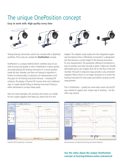# The unique OnePosition concept

**Easy to work with. High quality every time**



Testing hearing instruments used to be a hassle with a disjointed workflow. That's why we created the **OnePosition** concept.

OnePosition is a unique method which combines ease of use with accuracy and quality. In short, OnePosition is about quickly and easily placing the hearing instrument in a secure position inside the test chamber, and then not having to reposition it further for directionality or induction coil measurements. And that goes for all hearing instrument formats – including FM solutions. The design of Aurical HIT ensures that each traditional step in Coupler Based Fitting or Hearing Instrument Testing is either eliminated or at least made easier.

Here are some examples: the accessory box serves as a holder for the coupler adapters that helps you attach the HI to the





adapter. This adapter snaps easily onto the integrated coupler and microphone that is effortlessly connected in a designated slot that ensures a correct height of the hearing instrument for any measurement. The gooseneck reference microphone is easy to position and stays securely in place. Cables are virtually eliminated and so are couplers that roll on the floor of the test chamber. The built-in induction loops provide a very consistent magnetic field so that it is no longer necessary to re-orient the hearing instrument for that sweet spot before carrying out the measurement.

This is OnePosition – quality has never been easier. Aurical HIT was created to support your unique way of working – not the other way around.



*Intuitive RECD operation in Otosuite. Demonstration of advanced hearing instrument features.*

#### **See the video about the unique OnePosition concept at hearing-balance.natus.com/aurical**